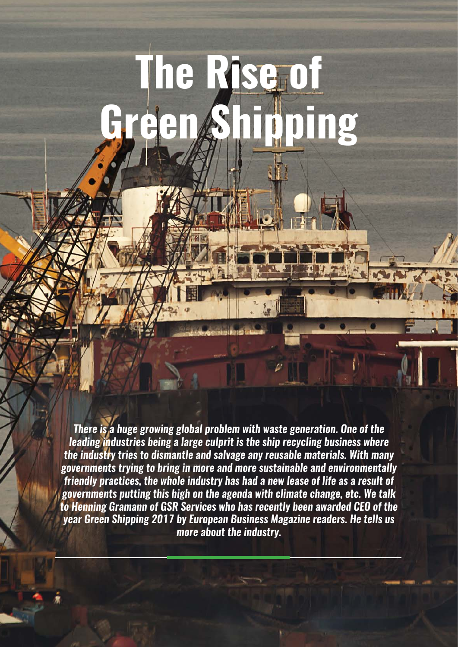# **The Rise of**  $\log$

*There is a huge growing global problem with waste generation. One of the leading industries being a large culprit is the ship recycling business where the industry tries to dismantle and salvage any reusable materials. With many governments trying to bring in more and more sustainable and environmentally friendly practices, the whole industry has had a new lease of life as a result of governments putting this high on the agenda with climate change, etc. We talk to Henning Gramann of GSR Services who has recently been awarded CEO of the year Green Shipping 2017 by European Business Magazine readers. He tells us more about the industry.*

58 europeanbusinessmagazine.com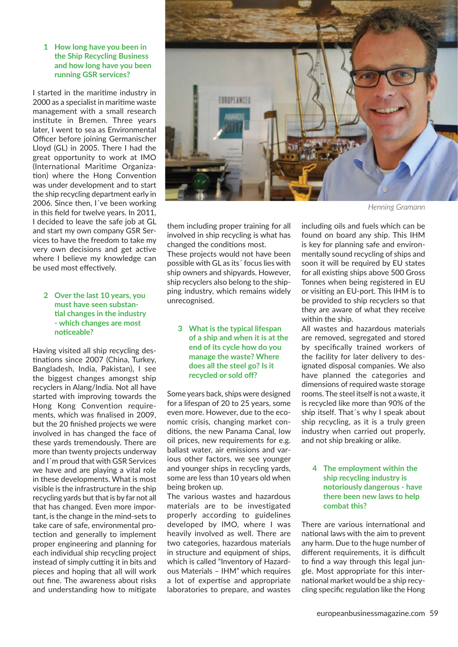### **1 How long have you been in the Ship Recycling Business and how long have you been running GSR services?**

I started in the maritime industry in 2000 as a specialist in maritime waste management with a small research institute in Bremen. Three years later, I went to sea as Environmental Officer before joining Germanischer Lloyd (GL) in 2005. There I had the great opportunity to work at IMO (International Maritime Organization) where the Hong Convention was under development and to start the ship recycling department early in 2006. Since then, I´ve been working in this field for twelve years. In 2011, I decided to leave the safe job at GL and start my own company GSR Services to have the freedom to take my very own decisions and get active where I believe my knowledge can be used most effectively.

# **2 Over the last 10 years, you must have seen substan-ঞ al changes in the industry - which changes are most noঞ ceable?**

Having visited all ship recycling destinations since 2007 (China, Turkey, Bangladesh, India, Pakistan), I see the biggest changes amongst ship recyclers in Alang/India. Not all have started with improving towards the Hong Kong Convention requirements, which was finalised in 2009, but the 20 finished projects we were involved in has changed the face of these yards tremendously. There are more than twenty projects underway and I´m proud that with GSR Services we have and are playing a vital role in these developments. What is most visible is the infrastructure in the ship recycling yards but that is by far not all that has changed. Even more important, is the change in the mind-sets to take care of safe, environmental protection and generally to implement proper engineering and planning for each individual ship recycling project instead of simply cutting it in bits and pieces and hoping that all will work out fine. The awareness about risks and understanding how to mitigate



*Henning Gramann*

them including proper training for all involved in ship recycling is what has changed the conditions most.

These projects would not have been possible with GL as its´ focus lies with ship owners and shipyards. However, ship recyclers also belong to the shipping industry, which remains widely unrecognised.

**3 What is the typical lifespan of a ship and when it is at the end of its cycle how do you manage the waste? Where does all the steel go? Is it recycled or sold off ?**

Some years back, ships were designed for a lifespan of 20 to 25 years, some even more. However, due to the economic crisis, changing market conditions, the new Panama Canal, low oil prices, new requirements for e.g. ballast water, air emissions and various other factors, we see younger and younger ships in recycling yards, some are less than 10 years old when being broken up.

The various wastes and hazardous materials are to be investigated properly according to guidelines developed by IMO, where I was heavily involved as well. There are two categories, hazardous materials in structure and equipment of ships, which is called "Inventory of Hazardous Materials – IHM" which requires a lot of expertise and appropriate laboratories to prepare, and wastes

including oils and fuels which can be found on board any ship. This IHM is key for planning safe and environmentally sound recycling of ships and soon it will be required by EU states for all existing ships above 500 Gross Tonnes when being registered in EU or visiting an EU-port. This IHM is to be provided to ship recyclers so that they are aware of what they receive within the ship.

All wastes and hazardous materials are removed, segregated and stored by specifically trained workers of the facility for later delivery to designated disposal companies. We also have planned the categories and dimensions of required waste storage rooms. The steel itself is not a waste, it is recycled like more than 90% of the ship itself. That´s why I speak about ship recycling, as it is a truly green industry when carried out properly, and not ship breaking or alike.

# **4 The employment within the ship recycling industry is notoriously dangerous - have there been new laws to help combat this?**

There are various international and national laws with the aim to prevent any harm. Due to the huge number of different requirements, it is difficult to find a way through this legal jungle. Most appropriate for this international market would be a ship recycling specific regulation like the Hong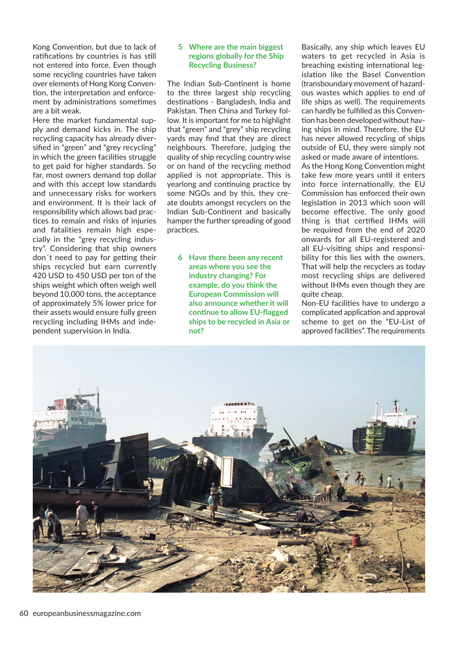Kong Convention, but due to lack of ratifications by countries is has still not entered into force. Even though some recycling countries have taken over elements of Hong Kong Convention, the interpretation and enforcement by administrations sometimes are a bit weak.

Here the market fundamental supply and demand kicks in. The ship recycling capacity has already diversified in "green" and "grey recycling" in which the green facilities struggle to get paid for higher standards. So far, most owners demand top dollar and with this accept low standards and unnecessary risks for workers and environment. It is their lack of responsibility which allows bad practices to remain and risks of injuries and fatalities remain high especially in the "grey recycling industry". Considering that ship owners don't need to pay for getting their ships recycled but earn currently 420 USD to 450 USD per ton of the ships weight which often weigh well beyond 10,000 tons, the acceptance of approximately 5% lower price for their assets would ensure fully green recycling including IHMs and independent supervision in India.

## **5 Where are the main biggest regions globally for the Ship Recycling Business?**

The Indian Sub-Continent is home to the three largest ship recycling destinations - Bangladesh, India and Pakistan. Then China and Turkey follow. It is important for me to highlight that "green" and "grey" ship recycling yards may find that they are direct neighbours. Therefore, judging the quality of ship recycling country wise or on hand of the recycling method applied is not appropriate. This is yearlong and continuing practice by some NGOs and by this, they create doubts amongst recyclers on the Indian Sub-Continent and basically hamper the further spreading of good practices.

**6 Have there been any recent areas where you see the industry changing? For example, do you think the European Commission will also announce whether it will continue to allow EU-flagged ships to be recycled in Asia or not?**

Basically, any ship which leaves EU waters to get recycled in Asia is breaching existing international legislation like the Basel Convention (transboundary movement of hazardous wastes which applies to end of life ships as well). The requirements can hardly be fulfilled as this Convention has been developed without having ships in mind. Therefore, the EU has never allowed recycling of ships outside of EU, they were simply not asked or made aware of intentions. As the Hong Kong Convention might take few more years until it enters into force internationally, the EU Commission has enforced their own legislation in 2013 which soon will become effective. The only good thing is that certified IHMs will be required from the end of 2020 onwards for all EU-registered and all EU-visiting ships and responsibility for this lies with the owners.

That will help the recyclers as today most recycling ships are delivered without IHMs even though they are quite cheap.

Non-EU facilities have to undergo a complicated application and approval scheme to get on the "EU-List of approved facilities". The requirements